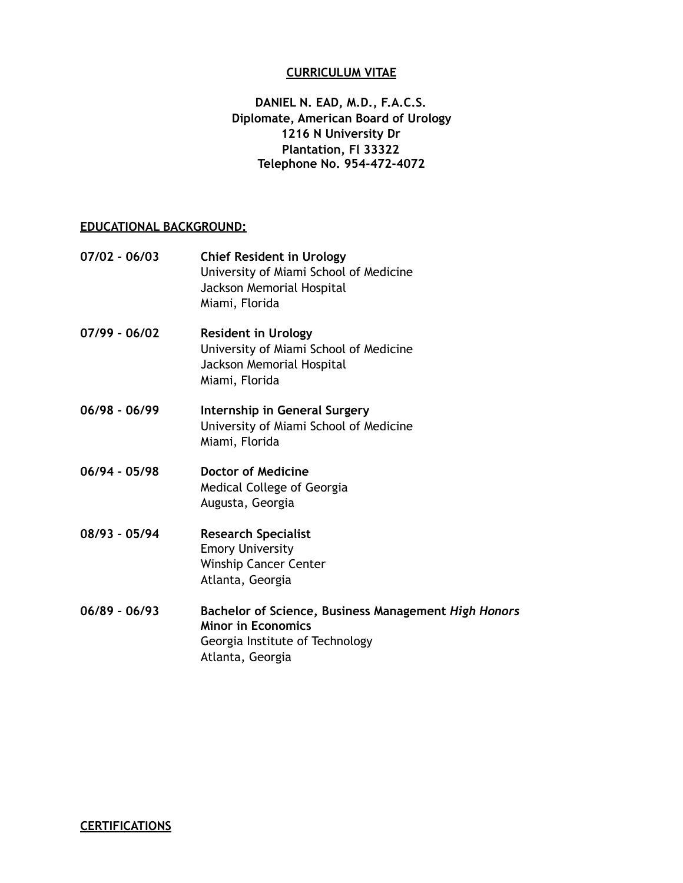#### **CURRICULUM VITAE**

## **DANIEL N. EAD, M.D., F.A.C.S. Diplomate, American Board of Urology 1216 N University Dr Plantation, Fl 33322 Telephone No. 954-472-4072**

### **EDUCATIONAL BACKGROUND:**

| $07/02 - 06/03$ | <b>Chief Resident in Urology</b><br>University of Miami School of Medicine<br>Jackson Memorial Hospital<br>Miami, Florida |
|-----------------|---------------------------------------------------------------------------------------------------------------------------|
| $07/99 - 06/02$ | <b>Resident in Urology</b><br>University of Miami School of Medicine<br>Jackson Memorial Hospital<br>Miami, Florida       |
| $06/98 - 06/99$ | Internship in General Surgery<br>University of Miami School of Medicine<br>Miami, Florida                                 |
| $06/94 - 05/98$ | <b>Doctor of Medicine</b><br>Medical College of Georgia<br>Augusta, Georgia                                               |
| $08/93 - 05/94$ | <b>Research Specialist</b><br><b>Emory University</b><br><b>Winship Cancer Center</b><br>Atlanta, Georgia                 |
| $06/89 - 06/93$ | Bachelor of Science, Business Management High Honors<br><b>Minor in Economics</b><br>Georgia Institute of Technology      |

Atlanta, Georgia

**CERTIFICATIONS**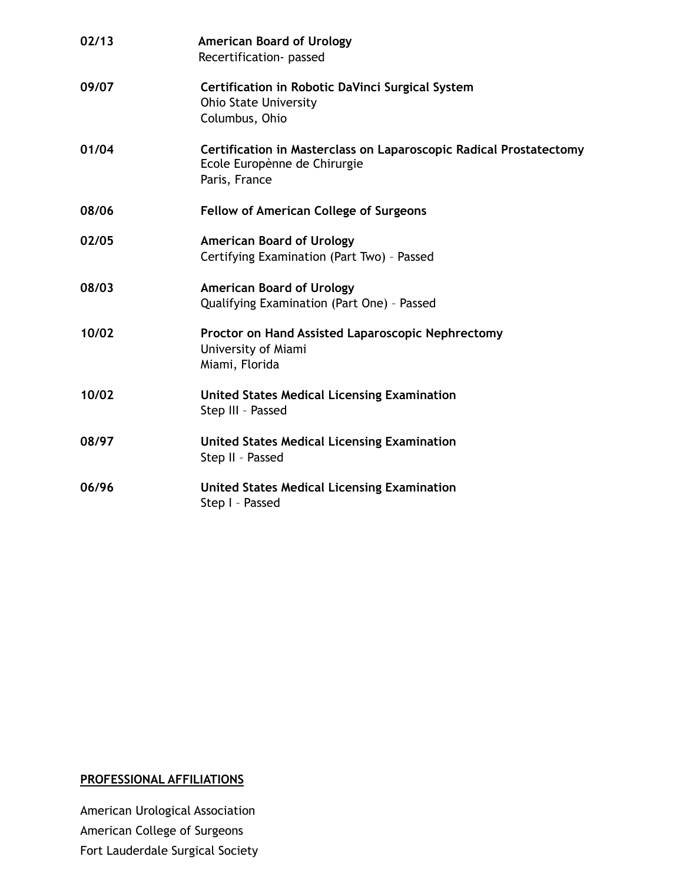| 02/13 | <b>American Board of Urology</b><br>Recertification- passed                                                         |
|-------|---------------------------------------------------------------------------------------------------------------------|
| 09/07 | Certification in Robotic DaVinci Surgical System<br><b>Ohio State University</b><br>Columbus, Ohio                  |
| 01/04 | Certification in Masterclass on Laparoscopic Radical Prostatectomy<br>Ecole Europènne de Chirurgie<br>Paris, France |
| 08/06 | <b>Fellow of American College of Surgeons</b>                                                                       |
| 02/05 | <b>American Board of Urology</b><br>Certifying Examination (Part Two) - Passed                                      |
| 08/03 | <b>American Board of Urology</b><br>Qualifying Examination (Part One) - Passed                                      |
| 10/02 | Proctor on Hand Assisted Laparoscopic Nephrectomy<br>University of Miami<br>Miami, Florida                          |
| 10/02 | <b>United States Medical Licensing Examination</b><br>Step III - Passed                                             |
| 08/97 | <b>United States Medical Licensing Examination</b><br>Step II - Passed                                              |
| 06/96 | <b>United States Medical Licensing Examination</b><br>Step I - Passed                                               |

# **PROFESSIONAL AFFILIATIONS**

American Urological Association American College of Surgeons Fort Lauderdale Surgical Society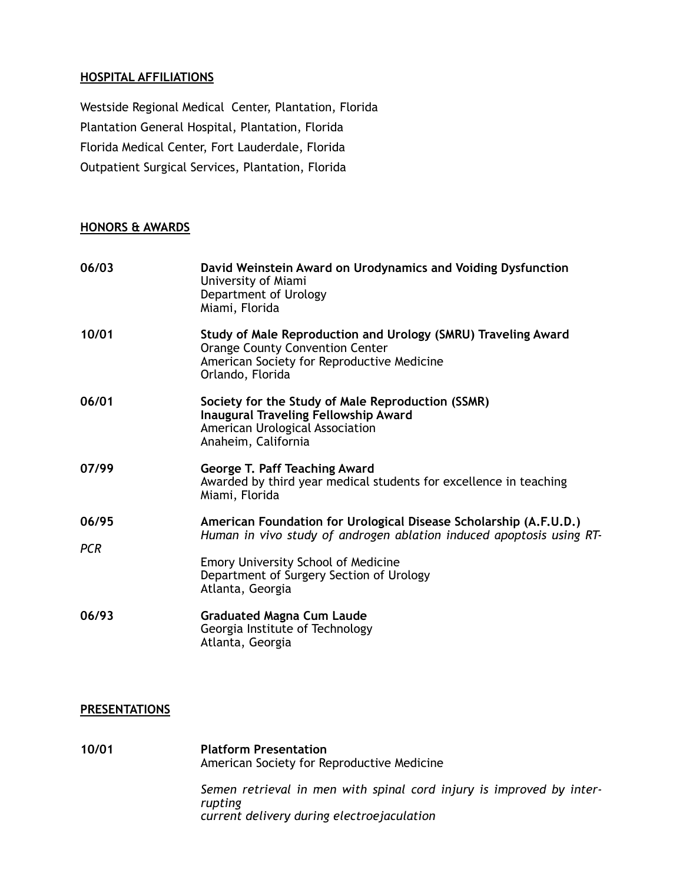#### **HOSPITAL AFFILIATIONS**

Westside Regional Medical Center, Plantation, Florida Plantation General Hospital, Plantation, Florida Florida Medical Center, Fort Lauderdale, Florida Outpatient Surgical Services, Plantation, Florida

## **HONORS & AWARDS**

| 06/03               | David Weinstein Award on Urodynamics and Voiding Dysfunction<br>University of Miami<br>Department of Urology<br>Miami, Florida                                                                                                                          |
|---------------------|---------------------------------------------------------------------------------------------------------------------------------------------------------------------------------------------------------------------------------------------------------|
| 10/01               | Study of Male Reproduction and Urology (SMRU) Traveling Award<br><b>Orange County Convention Center</b><br>American Society for Reproductive Medicine<br>Orlando, Florida                                                                               |
| 06/01               | Society for the Study of Male Reproduction (SSMR)<br><b>Inaugural Traveling Fellowship Award</b><br>American Urological Association<br>Anaheim, California                                                                                              |
| 07/99               | <b>George T. Paff Teaching Award</b><br>Awarded by third year medical students for excellence in teaching<br>Miami, Florida                                                                                                                             |
| 06/95<br><b>PCR</b> | American Foundation for Urological Disease Scholarship (A.F.U.D.)<br>Human in vivo study of androgen ablation induced apoptosis using RT-<br><b>Emory University School of Medicine</b><br>Department of Surgery Section of Urology<br>Atlanta, Georgia |
| 06/93               | <b>Graduated Magna Cum Laude</b><br>Georgia Institute of Technology<br>Atlanta, Georgia                                                                                                                                                                 |

#### **PRESENTATIONS**

**10/01 Platform Presentation** American Society for Reproductive Medicine *Semen retrieval in men with spinal cord injury is improved by interrupting current delivery during electroejaculation*